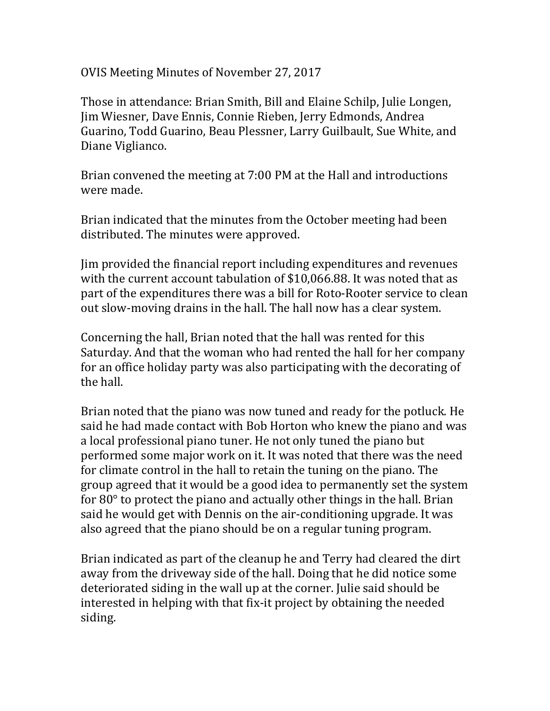OVIS Meeting Minutes of November 27, 2017

Those in attendance: Brian Smith, Bill and Elaine Schilp, Julie Longen, Jim Wiesner, Dave Ennis, Connie Rieben, Jerry Edmonds, Andrea Guarino, Todd Guarino, Beau Plessner, Larry Guilbault, Sue White, and Diane Viglianco.

Brian convened the meeting at 7:00 PM at the Hall and introductions were made.

Brian indicated that the minutes from the October meeting had been distributed. The minutes were approved.

Jim provided the financial report including expenditures and revenues with the current account tabulation of \$10,066.88. It was noted that as part of the expenditures there was a bill for Roto-Rooter service to clean out slow-moving drains in the hall. The hall now has a clear system.

Concerning the hall, Brian noted that the hall was rented for this Saturday. And that the woman who had rented the hall for her company for an office holiday party was also participating with the decorating of the hall.

Brian noted that the piano was now tuned and ready for the potluck. He said he had made contact with Bob Horton who knew the piano and was a local professional piano tuner. He not only tuned the piano but performed some major work on it. It was noted that there was the need for climate control in the hall to retain the tuning on the piano. The group agreed that it would be a good idea to permanently set the system for 80° to protect the piano and actually other things in the hall. Brian said he would get with Dennis on the air-conditioning upgrade. It was also agreed that the piano should be on a regular tuning program.

Brian indicated as part of the cleanup he and Terry had cleared the dirt away from the driveway side of the hall. Doing that he did notice some deteriorated siding in the wall up at the corner. Julie said should be interested in helping with that fix-it project by obtaining the needed siding.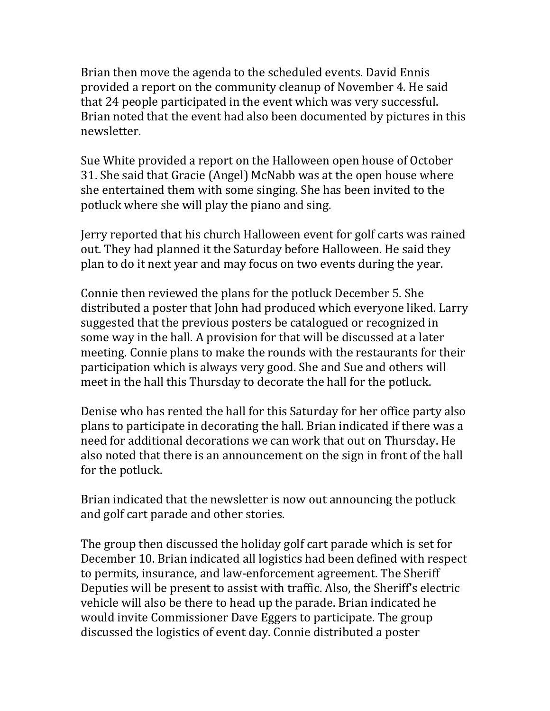Brian then move the agenda to the scheduled events. David Ennis provided a report on the community cleanup of November 4. He said that 24 people participated in the event which was very successful. Brian noted that the event had also been documented by pictures in this newsletter.

Sue White provided a report on the Halloween open house of October 31. She said that Gracie (Angel) McNabb was at the open house where she entertained them with some singing. She has been invited to the potluck where she will play the piano and sing.

Jerry reported that his church Halloween event for golf carts was rained out. They had planned it the Saturday before Halloween. He said they plan to do it next year and may focus on two events during the year.

Connie then reviewed the plans for the potluck December 5. She distributed a poster that John had produced which everyone liked. Larry suggested that the previous posters be catalogued or recognized in some way in the hall. A provision for that will be discussed at a later meeting. Connie plans to make the rounds with the restaurants for their participation which is always very good. She and Sue and others will meet in the hall this Thursday to decorate the hall for the potluck.

Denise who has rented the hall for this Saturday for her office party also plans to participate in decorating the hall. Brian indicated if there was a need for additional decorations we can work that out on Thursday. He also noted that there is an announcement on the sign in front of the hall for the potluck.

Brian indicated that the newsletter is now out announcing the potluck and golf cart parade and other stories.

The group then discussed the holiday golf cart parade which is set for December 10. Brian indicated all logistics had been defined with respect to permits, insurance, and law-enforcement agreement. The Sheriff Deputies will be present to assist with traffic. Also, the Sheriff's electric vehicle will also be there to head up the parade. Brian indicated he would invite Commissioner Dave Eggers to participate. The group discussed the logistics of event day. Connie distributed a poster